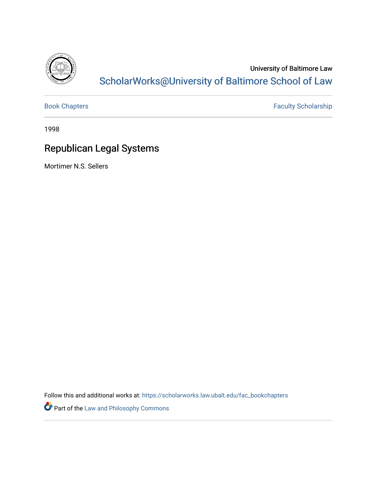

University of Baltimore Law [ScholarWorks@University of Baltimore School of Law](https://scholarworks.law.ubalt.edu/) 

[Book Chapters](https://scholarworks.law.ubalt.edu/fac_bookchapters) **Faculty Scholarship** 

1998

# Republican Legal Systems

Mortimer N.S. Sellers

Follow this and additional works at: [https://scholarworks.law.ubalt.edu/fac\\_bookchapters](https://scholarworks.law.ubalt.edu/fac_bookchapters?utm_source=scholarworks.law.ubalt.edu%2Ffac_bookchapters%2F10&utm_medium=PDF&utm_campaign=PDFCoverPages)

Part of the [Law and Philosophy Commons](https://network.bepress.com/hgg/discipline/1299?utm_source=scholarworks.law.ubalt.edu%2Ffac_bookchapters%2F10&utm_medium=PDF&utm_campaign=PDFCoverPages)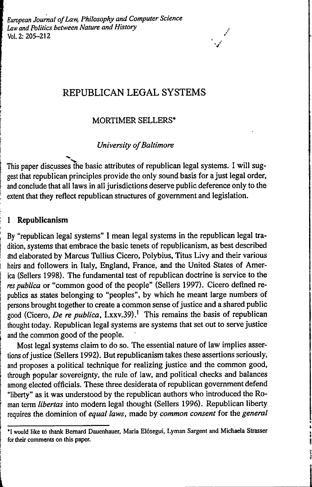*Eumpean Journal ofLaw. Philosophy and Computer Science Law* and Politics between Nature and History Vol. 2: 205-212

# **REPUBLICAN LEGAL SYSTEMS**

س<br>م

 $\boldsymbol{\epsilon}^{\boldsymbol{\epsilon}^{\boldsymbol{\epsilon}^{\boldsymbol{\epsilon}}}}$ 

# MORTIMER SELLERS\*

#### *University of Baltimore*

This paper discusses the basic attributes of republican legal systems. I will suggest that republican principles provide the only sound basis for a just legal order, and conclude that all laws in all jurisdictions deserve public deference only to the extent that they reflect republican structures of government and legislation.

# 1 Republicanism

F

I

I I **i** By "republican legal systems" I mean legal systems in the republican legal tradition, systems that embrace the basic tenets of republicanism, as best described and elaborated by Marcus Tullius Cicero, Polybius, Titus Livy and their various heirs and followers in Italy, England, France, and the United States of Amer**<sup>j</sup>** ica (Sellers 1998). The fundamental test of republican doctrine is service to the *res publica* or "common good of the people" (Sellers 1997). Cicero defined republics as states belonging to "peoples", by which he meant large numbers of persons brought together to create a common sense of justice and a shared public good (Cicero, *De re publica,* I.xxv.39).' This remains the basis of republican thought today. Republican legal systems are systems that set out to serve justice and the common good of the people.

Most legal systems claim to do so. The essential nature of law implies assertions of justice (Sellers 1992). But republicanism takes these assertions seriously, and proposes a political technique for realizing justice and the common good, through popular sovereignty, the rule of law, and political checks and balances among elected officials. These three desiderata of republican government defend "liberty" as it was understood by the republican authors who introduced the Roman term *libertas* into modern legal thought (Sellers 1996). Republican liberty requires the dominion of *equal laws,* made by *common consent* for the *general*

<sup>\*</sup>I would like to thank Bernard Dauenhauer, Maria Elosegui, Lyman Sargent and Michaela Strasser for their comments on this paper.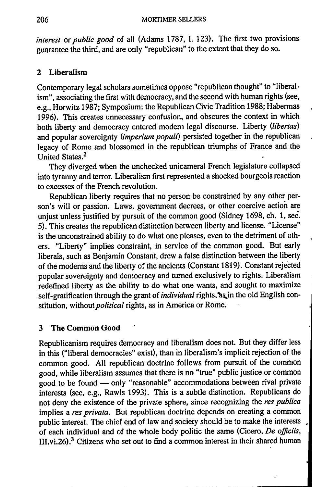*interest* or *public good* of all (Adams 1787, I. 123). The first two provisions guarantee the third, and are only "republican" to the extent that they do so.

#### 2 Liberalism

Contemporary legal scholars sometimes oppose "republican thought" to "liberalism", associating the first with democracy, and the second with human rights (see, e.g., Horwitz 1987; Symposium: the Republican Civic Tradition 1988; Habermas 1996). This creates unnecessary confusion, and obscures the context in which both liberty and democracy entered modern legal discourse. Liberty *{libertas)* and popular sovereignty *{imperium populi)* persisted together in the republican legacy of Rome and blossomed in the republican triumphs of France and the **United States.<sup>2</sup>** 

They diverged when the unchecked unicameral French legislature collapsed into tyranny and terror. Liberalism first represented a shocked bourgeois reaction to excesses of the French revolution.

Republican liberty requires that no person be constrained by any other person's will or passion. Laws, government decrees, or other coercive action are unjust unless justified by pursuit of the common good (Sidney 1698, ch. 1, sec. 5). This creates the republican distinction between liberty and license. "License" is the unconstrained ability to do what one pleases, even to the detriment of others. "Liberty" implies constraint, in service of the common good. But early liberals, such as Benjamin Constant, drew a false distinction between the liberty of the moderns and the liberty of the ancients (Constant 1819). Constant rejected popular sovereignty and democracy and turned exclusively to rights. Liberalism redefined liberty as the ability to do what one wants, and sought to maximize self-gratification through the grant of *individual* rights, as in the old English constitution, without*political* rights, as in America or Rome.

# 3 The Common Good

Republicanism requires democracy and liberalism does not. But they differ less in this ("liberal democracies" exist), than in liberalism's implicit rejection of the common good. All republican doctrine follows from pursuit of the common good, while liberalism assumes that there is no "true" public justice or common good to be found — only "reasonable" accommodations between rival private interests (see, e.g., Rawls 1993). This is a subtle distinction. Republicans do not deny the existence of the private sphere, since recognizing the *res publica* implies a *res privata.* But republican doctrine depends on creating a common public interest. The chief end of law and society should be to make the interests of each individual and of the whole body politic the same (Cicero, *De officiis,* III.vi.26). $<sup>3</sup>$  Citizens who set out to find a common interest in their shared human</sup>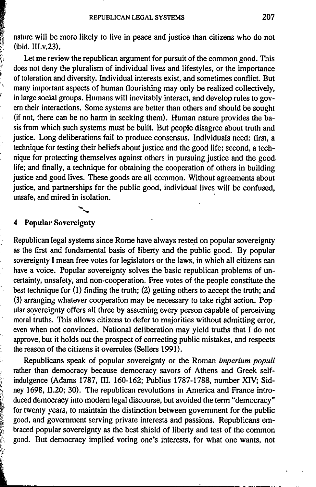nature will be more likely to live in peace and justice than citizens who do not (ibid. III.V.23).

Let me review the republican argument for pursuit of the common good. This does not deny the pluralism of individual lives and lifestyles, or the importance of toleration and diversity. Individual interests exist, and sometimes conflict. But many important aspects of human flourishing may only be realized collectively, in large social groups. Humans will inevitably interact, and develop rules to govern their interactions. Some systems are better than others and should be sought (if not, there can be no harm in seeking them). Human nature provides the basis from which such systems must be built. But people disagree about truth and justice. Long deliberations fail to produce consensus. Individuals need: first, a technique for testing their beliefs about justice and the good life; second, a technique for protecting themselves against others in pursuing justice and the good. life; and finally, a technique for obtaining the cooperatioh of others in building justice and good lives. These goods are all common. Without agreements about justice, and partnerships for the public good, individual lives will be confused, unsafe, and mired in isolation.

# 4 Popular Sovereignty

Republican legal systems since Rome have always rested on popular sovereignty as the first and fundamental basis of liberty and the public good. By popular sovereignty I mean free votes for legislators or the laws, in which all citizens can have a voice. Popular sovereignty solves the basic republican problems of uncertainty, unsafety, and non-cooperation. Free votes of the people constitute the best technique for (1) finding the truth; (2) getting others to accept the truth; and (3) arranging whatever cooperation may be necessary to take right action. Popular sovereignty offers all three by assuming every person capable of perceiving moral truths. This allows citizens to defer to majorities without admitting error, even when not convinced. National deliberation may yield truths that I do not approve, but it holds out the prospect of correcting public mistakes, and respects the reason of the citizens it overrules (Sellers 1991).

Republicans speak of popular sovereignty or the Roman *imperium populi* rather than democracy because democracy savors of Athens and Greek selfindulgence (Adams 1787, III. 160-162; Publius 1787-1788, number XIV; Sidney 1698, II.20; 30). The republican revolutions in America and France introduced democracy into modem legal discourse, but avoided the term "democracy" for twenty years, to maintain the distinction between government for the public good, and government serving private interests and passions. Republicans embraced popular sovereignty as the best shield of liberty and test of the common good. But democracy implied voting one's interests, for what one wants, not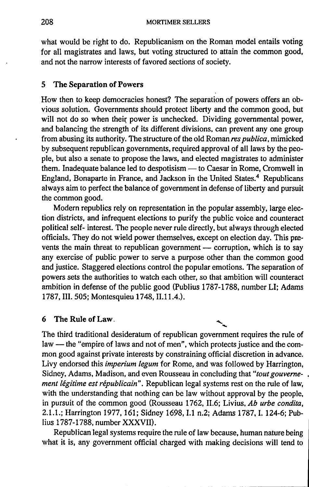what would be right to do. Republicanism on the Roman model entails voting for all magistrates and laws, but voting structured to attain the common good, and not the narrow interests of favored sections of society.

#### **5** The Separation of Powers

How then to keep democracies honest? The separation of powers offers an obvious solution. Governments should protect liberty and the common good, but will not do so when their power is unchecked. Dividing governmental power, and balancing the strength of its different divisions, can prevent any one group from abusing its authority. The structure of the old Roman *res publica*, mimicked by subsequent republican governments, required approval of all laws by the people, but also a senate to propose the laws, and elected magistrates to administer them. Inadequate balance led to despotisism — to Caesar in Rome, Cromwell in England, Bonaparte in France, and Jackson in the United States.<sup>4</sup> Republicans always aim to perfect the balance of government in defense of liberty and pursuit the common good.

Modern republics rely on representation in the popular assembly, large election districts, and infrequent elections to purify the public voice and counteract political self- interest. The people never rule directly, but always through elected officials. They do not wield power themselves, except on election day. This prevents the main threat to republican government — corruption, which is to say any exercise of public power to serve a purpose other than the common good and justice. Staggered elections control the popular emotions. The separation of powers sets the authorities to watch each other, so that ambition will counteract ambition in defense of the public good (Publius 1787-1788, number LI; Adams 1787, III. 505; Montesquieu 1748, II.11.4.).

#### **6 The Rule ofLaw.**

The third traditional desideratum of republican government requires the rule of law - the "empire of laws and not of men", which protects justice and the common good against private interests by constraining official discretion in advance. Livy endorsed this *imperium legum* for Rome, and was followed by Harrington, Sidney, Adams, Madison, and even Rousseau in concluding that "tout gouverne*ment legitime estrepublicain".* Republican legal systems rest on the rule of law, with the understanding that nothing can be law without approval by the people, in pursuit of the common good (Rousseau 1762,11.6; Livius, *Ab urbe condita,* 2.1.1.; Harrington 1977, 161; Sidney 1698, I.1 n.2; Adams 1787, I. 124-6; Publius 1787-1788, number XXXVII).

Republican legal systems require the rule of law because, human nature being what it is, any government official charged with making decisions will tend to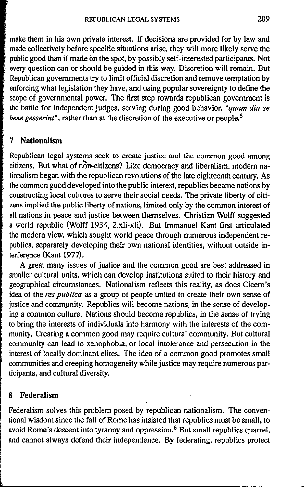make them in his own private interest. If decisions are provided for by law and made collectively before specific situations arise, they will more likely serve the public good than if made bn the spot, by possibly self-interested participants. Not every question can or should be guided in this way. Discretion will remain. But Republican governments try to limit official discretion and remove temptation by enforcing what legislation they have, and using popular sovereignty to define the scope of governmental power. The first step towards republican government is the battle for independent judges, serving during good behavior, *"quam diu .se bene gesserint*", rather than at the discretion of the executive or people.<sup>5</sup>

# 7 Nationalism

Republican legal systems seek to create Justice and the common good among citizens. But what of non-citizens? Like democracy and liberalism, modern nationalism began with the republican revolutions of the late eighteenth century. As the common good developed into the public interest, republics became nations by constructing local cultures to serve their social needs. The private liberty of citizens implied the public liberty of nations, limited only by the common interest of all nations in peace and justice between themselves. Christian Wolff suggested a world republic (Wolff 1934, 2.xli-xli). But Immanuel Kant first articulated the modern view, which sought world peace through numerous independent republics, separately developing their own national identities, without outside interference (Kant 1977).

A great many issues of justice and the common good are best addressed in smaller cultural units, which can develop institutions suited to their history and geographical circumstances. Nationalism reflects this reality, as does Cicero's idea of the *res publica* as a group of people united to create their own sense of justice and community. Republics will become nations, in the sense of developing a common culture. Nations should become republics, in the sense of trying to bring the interests of individuals into harmony with the interests of the community. Creating a common good may require cultural community. But cultural community can lead to xenophobia, or local intolerance and persecution in the interest of locally dominant elites. The idea of a common good promotes small communities and creeping homogeneity while justice may require numerous participants, and cultural diversity.

# 8 Federalism

Federalism solves this problem posed by republican nationalism. The conventional wisdom since the fall of Rome has insisted that republics must be small, to avoid Rome's descent into tyranny and oppression.® But small republics quarrel, and cannot always defend their independence. By federating, republics protect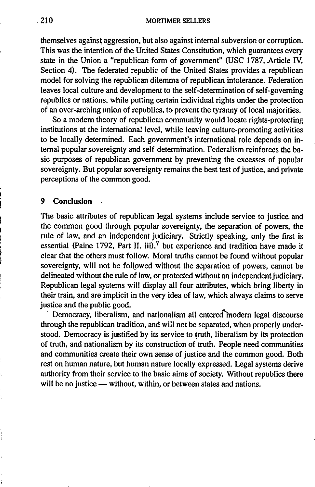210 MORTIMER SELLERS

themselves against aggression, but also against internal subversion or corruption. This was the intention of the United States Constitution, which guarantees every state in the Union a "republican form of government" (USC 1787, Article IV, Section 4). The federated republic of the United States provides a republican model for solving the republican dilemma of republican intolerance. Federation leaves local culture and development to the self-determination of self-governing republics or nations, while putting certain individual rights under the protection of an over-arching union of republics, to prevent the tyranny of local majorities.

So a modern theory of republican community would locate rights-protecting institutions at the international level, while leaving culture-promoting activities to be locally determined. Each government's international role depends on internal popular sovereignty and self-determination. Federalism reinforces the basic purposes of republican government by preventing the excesses of popular sovereignty. But popular sovereignty remains the best test of justice, and private perceptions of the common good.

# **9 Conclusion**

The basic attributes of republican legal systems include service to justice and the common good through popular sovereignty, the separation of powers, the rule of law, and an independent judiciary. Strictly speaking, only the first is essential (Paine 1792, Part II. iii),<sup>7</sup> but experience and tradition have made it clear that the others must follow. Moral truths cannot be found without popular sovereignty, will not be followed without the separation of powers, cannot be delineated without the rule of law, or protected without an independent judiciary. Republican legal systems will display all four attributes, which bring liberty in their train, and are implicit in the very idea of law, which always claims to serve justice and the public good.

Democracy, liberalism, and nationalism all entered modern legal discourse through the republican tradition, and will not be separated, when properly understood. Democracy is justified by its service to truth, liberalism by its protection of truth, and nationalism by its construction of truth. People need communities and communities create their own sense of justice and the common good. Both rest on human nature, but human nature locally expressed. Legal systems derive authority from their service to the basic aims of society. Without republics there will be no justice — without, within, or between states and nations.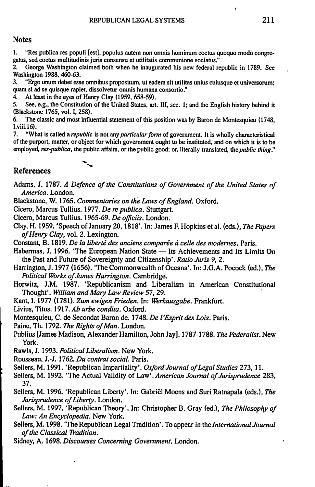#### **Notes**

1. "Res publica res populi [est], populus autem non omnis hominum coetus quoquo modo congregatus, sed coetus multitudinis juris consensu et utilitatis communione sociatus."

2. George Washington claimed both when he inaugurated his new federal republic in 1789. See Washington 1988, 460-63.<br>3. "Ergo unum debet esse

3. "Ergo unum debet esse omnibus propositum, ut eadem sit utilitas unius cuiusque et universorum; quam si ad se quisque rapiet, dissolvetur omnis humana consortio."<br> $\frac{1}{4}$  At least in the eves of Henry Clay (1959, 658-59)

4. At least in the eyes of Henry Clay (1959, 658-59).<br>5. See, e.g., the Constitution of the United States art

See, e.g., the Constitution of the United States, art. III, sec. 1; and the English history behind it (Blackstone 1765, vol. I, 258).<br>6. The classic and most influ

The classic and most influential statement of this position was by Baron de Montesquieu (1748, I.viii.l6).

"What is called a *republic* is not any *particular form* of government. It is wholly characteristical of the purport, matter, or object for which government ought to be instituted, and on which it is to be employed, *res-publica*, the public affairs, or the public good; or, literally translated, the *public thing*."

#### **References**

Adams, J. 1787. *A Defence ofthe Constitutions of Government ofthe United States of America.* London.

- Blackstone, W. 1765. *Commentaries on the Laws of England*. Oxford.
- Cicero, Marcus Tullius. 1977. *De re publica.* Stuttgart.
- Cicero, Marcus Tullius. 1965-69. *De officiis.* London.
- Clay, H. 1959. 'Speech ofJanuary 20,1818'. In: James F. Hopkins et al. (eds.), *The Papers ofHenry Clay,* vol. 2. Lexington.
- Constant, B. 1819. *De la liberte des anciens comparee a celle des modemes.* Paris.
- Habermas, J. 1996. 'The European Nation State Its Achievements and Its Limits On the Past and Future of Sovereignty and Citizenship'. *Ratio Juris* 9, 2.
- Harrington, J. 1977 (1656). 'The Commonwealth of Oceana'. In: J.G.A. Pocock (ed.), *The Political Works ofJames Harrington.* Cambridge.
- Horwitz, J.M. 1987. 'Republicanism and Liberalism in American Constitutional Thought'. *William and Mary Law Review* 57, 29.
- Kant, 1.1977 (1781). *Zum ewigen Frieden.* In: *Werkausgabe.* Frankfurt.
- Livius, Titus. 1917. *Ab urbe condita.* Oxford.

Montesquieu, C. de Secondat Baron de. 1748. *De I'Esprit des Lois.* Paris.

- Paine, Th. 1792. *The Rights of Man*. London.
- Publius [James Madison, Alexander Hamilton, John Jay]. 1787-1788. The Federalist. New York.
- Rawls, J. 1993. *Political Liberalism.* New York.
- Rousseau, J.-J. 1762. *Du contrat social*. Paris.
- Sellers, M. 1991. 'Republican Impartiality'. *OxfordJournal ofLegal Studies* 273,11.
- Sellers, M. 1992. 'The Actual Validity of Law'. *American Journal of Jurisprudence* 283, 37.
- Sellers, M. 1996. 'Republican Liberty'. In: Gabriel Moens and Suri Ratnapala (eds.). *The Jurisprudence of Liberty*. London.
- Sellers, M. 1997. 'Republican Theory'. In: Christopher B. Gray (ed.). *The Philosophy of Law: An Encyclopedia.* New York.
- Sellers, M. 1998. 'The Republican Legal Tradition'. To appear in the International Journal *ofthe Classical Tradition.*
- Sidney, A. 1698. *Discourses Concerning Government.* London.